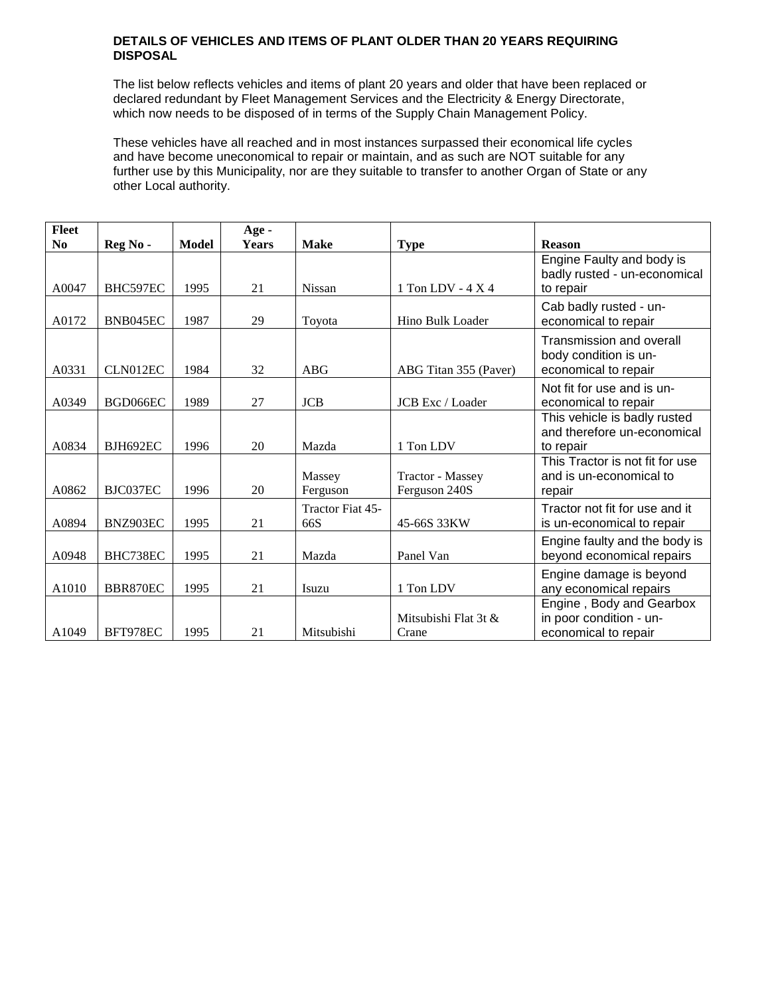## **DETAILS OF VEHICLES AND ITEMS OF PLANT OLDER THAN 20 YEARS REQUIRING DISPOSAL**

The list below reflects vehicles and items of plant 20 years and older that have been replaced or declared redundant by Fleet Management Services and the Electricity & Energy Directorate, which now needs to be disposed of in terms of the Supply Chain Management Policy.

These vehicles have all reached and in most instances surpassed their economical life cycles and have become uneconomical to repair or maintain, and as such are NOT suitable for any further use by this Municipality, nor are they suitable to transfer to another Organ of State or any other Local authority.

| Fleet          |                 |       | Age -        |                         |                                   |                                                                                  |
|----------------|-----------------|-------|--------------|-------------------------|-----------------------------------|----------------------------------------------------------------------------------|
| N <sub>0</sub> | Reg No-         | Model | <b>Years</b> | <b>Make</b>             | <b>Type</b>                       | <b>Reason</b>                                                                    |
| A0047          | BHC597EC        | 1995  | 21           | <b>Nissan</b>           | 1 Ton LDV - 4 X 4                 | Engine Faulty and body is<br>badly rusted - un-economical<br>to repair           |
| A0172          | BNB045EC        | 1987  | 29           | Toyota                  | Hino Bulk Loader                  | Cab badly rusted - un-<br>economical to repair                                   |
| A0331          | CLN012EC        | 1984  | 32           | ABG                     | ABG Titan 355 (Paver)             | <b>Transmission and overall</b><br>body condition is un-<br>economical to repair |
| A0349          | BGD066EC        | 1989  | 27           | <b>JCB</b>              | <b>JCB</b> Exc / Loader           | Not fit for use and is un-<br>economical to repair                               |
| A0834          | <b>BJH692EC</b> | 1996  | 20           | Mazda                   | 1 Ton LDV                         | This vehicle is badly rusted<br>and therefore un-economical<br>to repair         |
| A0862          | BJC037EC        | 1996  | 20           | Massey<br>Ferguson      | Tractor - Massey<br>Ferguson 240S | This Tractor is not fit for use<br>and is un-economical to<br>repair             |
| A0894          | BNZ903EC        | 1995  | 21           | Tractor Fiat 45-<br>66S | 45-66S 33KW                       | Tractor not fit for use and it<br>is un-economical to repair                     |
| A0948          | BHC738EC        | 1995  | 21           | Mazda                   | Panel Van                         | Engine faulty and the body is<br>beyond economical repairs                       |
| A1010          | BBR870EC        | 1995  | 21           | Isuzu                   | 1 Ton LDV                         | Engine damage is beyond<br>any economical repairs                                |
| A1049          | BFT978EC        | 1995  | 21           | Mitsubishi              | Mitsubishi Flat 3t &<br>Crane     | Engine, Body and Gearbox<br>in poor condition - un-<br>economical to repair      |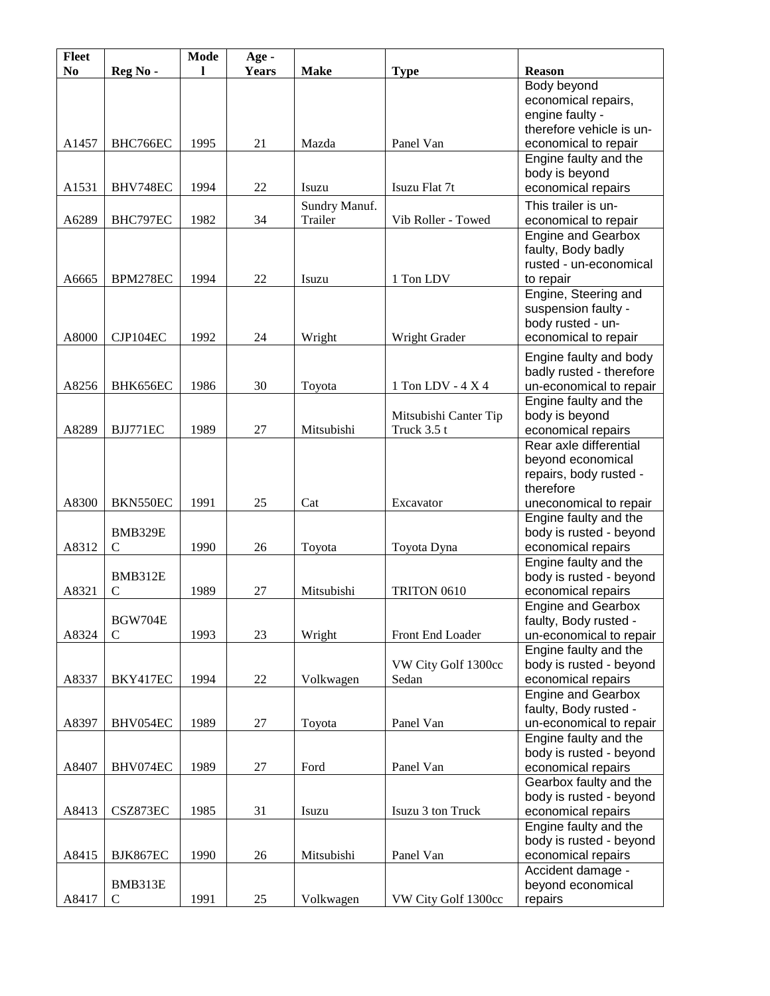| Fleet          |                | <b>Mode</b> | Age -        |               |                       |                                                  |
|----------------|----------------|-------------|--------------|---------------|-----------------------|--------------------------------------------------|
| N <sub>0</sub> | Reg No-        | L           | <b>Years</b> | <b>Make</b>   | <b>Type</b>           | <b>Reason</b>                                    |
|                |                |             |              |               |                       | Body beyond                                      |
|                |                |             |              |               |                       | economical repairs,<br>engine faulty -           |
|                |                |             |              |               |                       | therefore vehicle is un-                         |
| A1457          | BHC766EC       | 1995        | 21           | Mazda         | Panel Van             | economical to repair                             |
|                |                |             |              |               |                       | Engine faulty and the                            |
|                |                |             |              |               |                       | body is beyond                                   |
| A1531          | BHV748EC       | 1994        | 22           | Isuzu         | Isuzu Flat 7t         | economical repairs                               |
|                |                |             |              | Sundry Manuf. |                       | This trailer is un-                              |
| A6289          | BHC797EC       | 1982        | 34           | Trailer       | Vib Roller - Towed    | economical to repair                             |
|                |                |             |              |               |                       | <b>Engine and Gearbox</b>                        |
|                |                |             |              |               |                       | faulty, Body badly                               |
|                |                |             |              |               |                       | rusted - un-economical                           |
| A6665          | BPM278EC       | 1994        | 22           | Isuzu         | 1 Ton LDV             | to repair                                        |
|                |                |             |              |               |                       | Engine, Steering and                             |
|                |                |             |              |               |                       | suspension faulty -                              |
| A8000          | CJP104EC       | 1992        | 24           | Wright        | Wright Grader         | body rusted - un-<br>economical to repair        |
|                |                |             |              |               |                       |                                                  |
|                |                |             |              |               |                       | Engine faulty and body                           |
| A8256          | BHK656EC       | 1986        | 30           |               | 1 Ton LDV - 4 X 4     | badly rusted - therefore                         |
|                |                |             |              | Toyota        |                       | un-economical to repair<br>Engine faulty and the |
|                |                |             |              |               | Mitsubishi Canter Tip | body is beyond                                   |
| A8289          | BJJ771EC       | 1989        | 27           | Mitsubishi    | Truck 3.5 t           | economical repairs                               |
|                |                |             |              |               |                       | Rear axle differential                           |
|                |                |             |              |               |                       | beyond economical                                |
|                |                |             |              |               |                       | repairs, body rusted -                           |
|                |                |             |              |               |                       | therefore                                        |
| A8300          | BKN550EC       | 1991        | 25           | Cat           | Excavator             | uneconomical to repair                           |
|                |                |             |              |               |                       | Engine faulty and the                            |
|                | BMB329E        |             |              |               |                       | body is rusted - beyond                          |
| A8312          | $\mathsf{C}$   | 1990        | 26           | Toyota        | Toyota Dyna           | economical repairs<br>Engine faulty and the      |
|                | BMB312E        |             |              |               |                       | body is rusted - beyond                          |
| A8321          | $\mathcal{C}$  | 1989        | 27           | Mitsubishi    | TRITON 0610           | economical repairs                               |
|                |                |             |              |               |                       | <b>Engine and Gearbox</b>                        |
|                | <b>BGW704E</b> |             |              |               |                       | faulty, Body rusted -                            |
| A8324          | $\mathsf{C}$   | 1993        | 23           | Wright        | Front End Loader      | un-economical to repair                          |
|                |                |             |              |               |                       | Engine faulty and the                            |
|                |                |             |              |               | VW City Golf 1300cc   | body is rusted - beyond                          |
| A8337          | BKY417EC       | 1994        | 22           | Volkwagen     | Sedan                 | economical repairs                               |
|                |                |             |              |               |                       | <b>Engine and Gearbox</b>                        |
|                |                |             |              |               |                       | faulty, Body rusted -                            |
| A8397          | BHV054EC       | 1989        | 27           | Toyota        | Panel Van             | un-economical to repair                          |
|                |                |             |              |               |                       | Engine faulty and the<br>body is rusted - beyond |
| A8407          | BHV074EC       | 1989        | 27           | Ford          | Panel Van             | economical repairs                               |
|                |                |             |              |               |                       | Gearbox faulty and the                           |
|                |                |             |              |               |                       | body is rusted - beyond                          |
| A8413          | CSZ873EC       | 1985        | 31           | Isuzu         | Isuzu 3 ton Truck     | economical repairs                               |
|                |                |             |              |               |                       | Engine faulty and the                            |
|                |                |             |              |               |                       | body is rusted - beyond                          |
| A8415          | BJK867EC       | 1990        | 26           | Mitsubishi    | Panel Van             | economical repairs                               |
|                |                |             |              |               |                       | Accident damage -                                |
|                | BMB313E        |             |              |               |                       | beyond economical                                |
| A8417          | $\mathbf C$    | 1991        | 25           | Volkwagen     | VW City Golf 1300cc   | repairs                                          |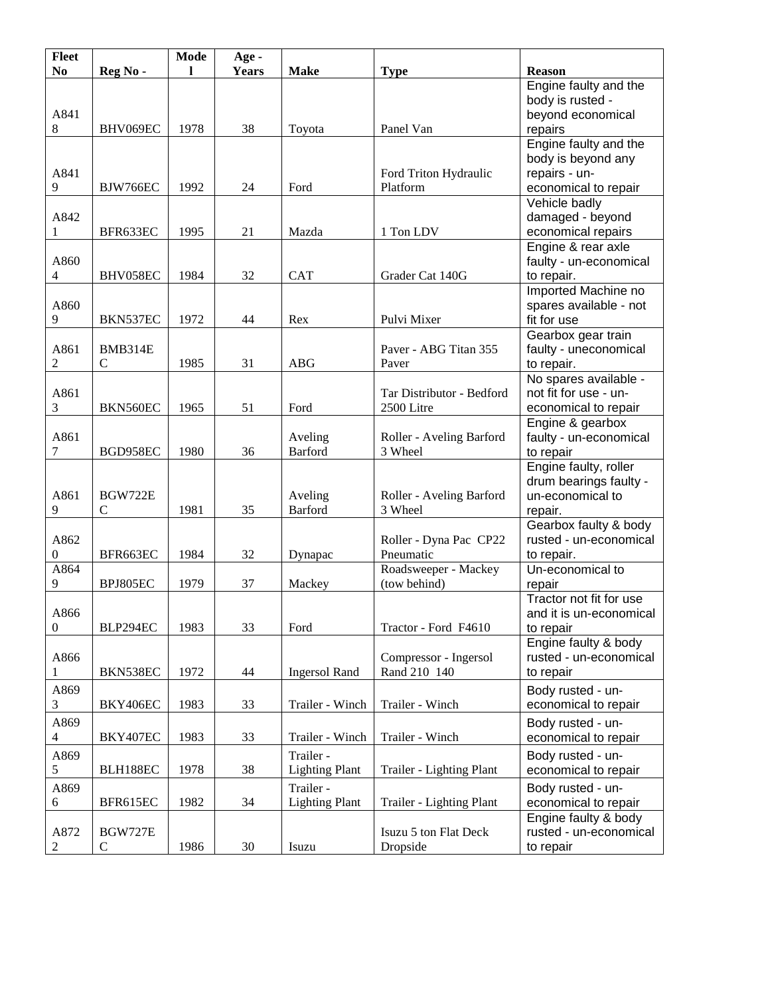| <b>Fleet</b>     |                | Mode | Age-         |                       |                                     |                         |
|------------------|----------------|------|--------------|-----------------------|-------------------------------------|-------------------------|
| N <sub>o</sub>   | Reg No-        |      | <b>Years</b> | <b>Make</b>           | <b>Type</b>                         | <b>Reason</b>           |
|                  |                |      |              |                       |                                     | Engine faulty and the   |
|                  |                |      |              |                       |                                     | body is rusted -        |
| A841             |                |      |              |                       |                                     | beyond economical       |
| 8                | BHV069EC       | 1978 | 38           | Toyota                | Panel Van                           | repairs                 |
|                  |                |      |              |                       |                                     | Engine faulty and the   |
|                  |                |      |              |                       |                                     | body is beyond any      |
| A841             |                |      |              |                       | Ford Triton Hydraulic               | repairs - un-           |
| 9                | BJW766EC       | 1992 | 24           | Ford                  | Platform                            | economical to repair    |
|                  |                |      |              |                       |                                     | Vehicle badly           |
| A842             |                |      |              |                       |                                     | damaged - beyond        |
| 1                | BFR633EC       | 1995 | 21           | Mazda                 | 1 Ton LDV                           | economical repairs      |
|                  |                |      |              |                       |                                     | Engine & rear axle      |
| A860             |                |      |              |                       |                                     | faulty - un-economical  |
| $\overline{4}$   | BHV058EC       | 1984 | 32           | <b>CAT</b>            | Grader Cat 140G                     | to repair.              |
|                  |                |      |              |                       |                                     | Imported Machine no     |
| A860             |                |      |              |                       |                                     | spares available - not  |
| 9                | BKN537EC       | 1972 | 44           | Rex                   | Pulvi Mixer                         | fit for use             |
|                  |                |      |              |                       |                                     | Gearbox gear train      |
| A861             | <b>BMB314E</b> |      |              |                       | Paver - ABG Titan 355               | faulty - uneconomical   |
| 2                | $\mathbf C$    | 1985 | 31           | <b>ABG</b>            | Paver                               | to repair.              |
|                  |                |      |              |                       |                                     | No spares available -   |
| A861             |                |      |              |                       | Tar Distributor - Bedford           | not fit for use - un-   |
| 3                | BKN560EC       | 1965 | 51           | Ford                  | 2500 Litre                          | economical to repair    |
|                  |                |      |              |                       |                                     | Engine & gearbox        |
| A861             |                |      |              | Aveling               |                                     | faulty - un-economical  |
| 7                | BGD958EC       | 1980 | 36           | Barford               | Roller - Aveling Barford<br>3 Wheel | to repair               |
|                  |                |      |              |                       |                                     | Engine faulty, roller   |
|                  |                |      |              |                       |                                     | drum bearings faulty -  |
| A861             | <b>BGW722E</b> |      |              | Aveling               | Roller - Aveling Barford            | un-economical to        |
| 9                | $\mathcal{C}$  | 1981 | 35           | <b>Barford</b>        | 3 Wheel                             | repair.                 |
|                  |                |      |              |                       |                                     | Gearbox faulty & body   |
| A862             |                |      |              |                       | Roller - Dyna Pac CP22              | rusted - un-economical  |
| $\boldsymbol{0}$ | BFR663EC       |      |              |                       | Pneumatic                           |                         |
|                  |                | 1984 | 32           | Dynapac               |                                     | to repair.              |
| A864             |                |      |              |                       | Roadsweeper - Mackey                | Un-economical to        |
| 9                | BPJ805EC       | 1979 | 37           | Mackey                | (tow behind)                        | repair                  |
|                  |                |      |              |                       |                                     | Tractor not fit for use |
| A866             |                |      |              |                       |                                     | and it is un-economical |
| $\boldsymbol{0}$ | BLP294EC       | 1983 | 33           | Ford                  | Tractor - Ford F4610                | to repair               |
|                  |                |      |              |                       |                                     | Engine faulty & body    |
| A866             |                |      |              |                       | Compressor - Ingersol               | rusted - un-economical  |
| 1                | BKN538EC       | 1972 | 44           | <b>Ingersol Rand</b>  | Rand 210 140                        | to repair               |
| A869             |                |      |              |                       |                                     | Body rusted - un-       |
| 3                | BKY406EC       | 1983 | 33           | Trailer - Winch       | Trailer - Winch                     | economical to repair    |
| A869             |                |      |              |                       |                                     | Body rusted - un-       |
| 4                | BKY407EC       | 1983 | 33           | Trailer - Winch       | Trailer - Winch                     | economical to repair    |
| A869             |                |      |              | Trailer -             |                                     | Body rusted - un-       |
| 5                | BLH188EC       | 1978 | 38           | <b>Lighting Plant</b> | Trailer - Lighting Plant            | economical to repair    |
|                  |                |      |              |                       |                                     |                         |
| A869             |                |      |              | Trailer -             |                                     | Body rusted - un-       |
| $\sqrt{6}$       | BFR615EC       | 1982 | 34           | <b>Lighting Plant</b> | Trailer - Lighting Plant            | economical to repair    |
|                  |                |      |              |                       |                                     | Engine faulty & body    |
| A872             | <b>BGW727E</b> |      |              |                       | Isuzu 5 ton Flat Deck               | rusted - un-economical  |
| 2                | $\mathsf{C}$   | 1986 | 30           | Isuzu                 | Dropside                            | to repair               |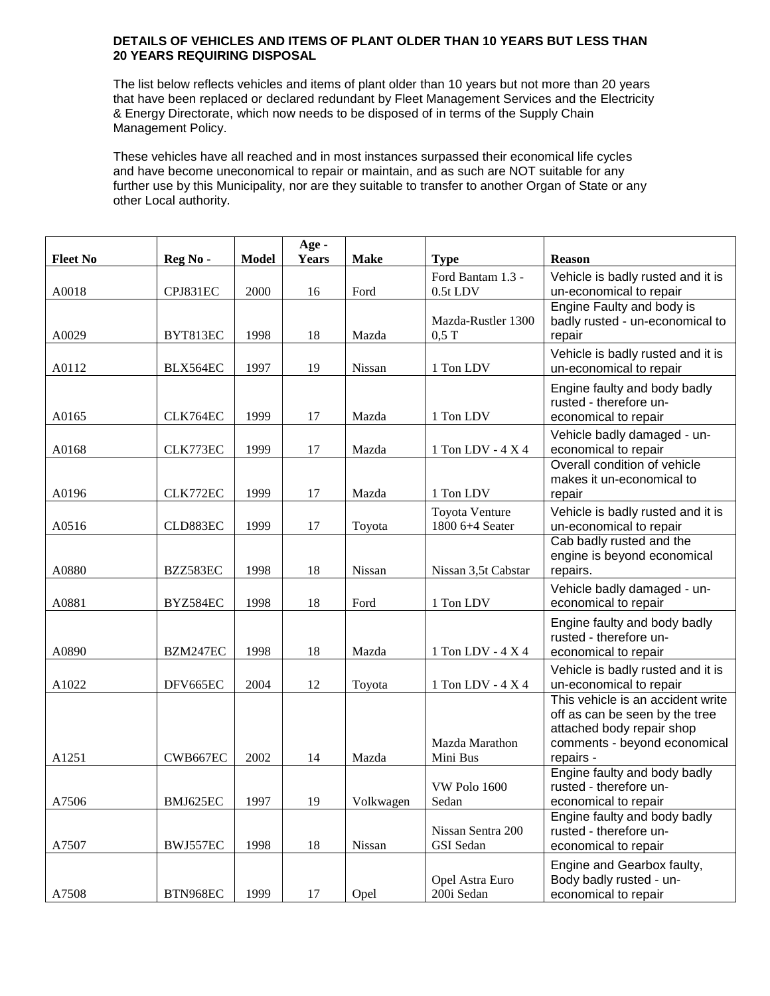## **DETAILS OF VEHICLES AND ITEMS OF PLANT OLDER THAN 10 YEARS BUT LESS THAN 20 YEARS REQUIRING DISPOSAL**

The list below reflects vehicles and items of plant older than 10 years but not more than 20 years that have been replaced or declared redundant by Fleet Management Services and the Electricity & Energy Directorate, which now needs to be disposed of in terms of the Supply Chain Management Policy.

These vehicles have all reached and in most instances surpassed their economical life cycles and have become uneconomical to repair or maintain, and as such are NOT suitable for any further use by this Municipality, nor are they suitable to transfer to another Organ of State or any other Local authority.

|                 |          |              | Age -        |             |                                          |                                                                                                                                               |
|-----------------|----------|--------------|--------------|-------------|------------------------------------------|-----------------------------------------------------------------------------------------------------------------------------------------------|
| <b>Fleet No</b> | Reg No-  | <b>Model</b> | <b>Years</b> | <b>Make</b> | <b>Type</b>                              | <b>Reason</b>                                                                                                                                 |
| A0018           | CPJ831EC | 2000         | 16           | Ford        | Ford Bantam 1.3 -<br>0.5t LDV            | Vehicle is badly rusted and it is<br>un-economical to repair                                                                                  |
| A0029           | BYT813EC | 1998         | 18           | Mazda       | Mazda-Rustler 1300<br>$0,5$ T            | Engine Faulty and body is<br>badly rusted - un-economical to<br>repair                                                                        |
| A0112           | BLX564EC | 1997         | 19           | Nissan      | 1 Ton LDV                                | Vehicle is badly rusted and it is<br>un-economical to repair                                                                                  |
| A0165           | CLK764EC | 1999         | 17           | Mazda       | 1 Ton LDV                                | Engine faulty and body badly<br>rusted - therefore un-<br>economical to repair                                                                |
| A0168           | CLK773EC | 1999         | 17           | Mazda       | 1 Ton LDV - 4 X 4                        | Vehicle badly damaged - un-<br>economical to repair                                                                                           |
| A0196           | CLK772EC | 1999         | 17           | Mazda       | 1 Ton LDV                                | Overall condition of vehicle<br>makes it un-economical to<br>repair                                                                           |
| A0516           | CLD883EC | 1999         | 17           | Toyota      | <b>Toyota Venture</b><br>1800 6+4 Seater | Vehicle is badly rusted and it is<br>un-economical to repair                                                                                  |
| A0880           | BZZ583EC | 1998         | 18           | Nissan      | Nissan 3,5t Cabstar                      | Cab badly rusted and the<br>engine is beyond economical<br>repairs.                                                                           |
| A0881           | BYZ584EC | 1998         | 18           | Ford        | 1 Ton LDV                                | Vehicle badly damaged - un-<br>economical to repair                                                                                           |
| A0890           | BZM247EC | 1998         | 18           | Mazda       | $1$ Ton LDV - $4$ X $4$                  | Engine faulty and body badly<br>rusted - therefore un-<br>economical to repair                                                                |
| A1022           | DFV665EC | 2004         | 12           | Toyota      | 1 Ton LDV - 4 X 4                        | Vehicle is badly rusted and it is<br>un-economical to repair                                                                                  |
| A1251           | CWB667EC | 2002         | 14           | Mazda       | Mazda Marathon<br>Mini Bus               | This vehicle is an accident write<br>off as can be seen by the tree<br>attached body repair shop<br>comments - beyond economical<br>repairs - |
| A7506           | BMJ625EC | 1997         | 19           | Volkwagen   | VW Polo 1600<br>Sedan                    | Engine faulty and body badly<br>rusted - therefore un-<br>economical to repair                                                                |
| A7507           | BWJ557EC | 1998         | 18           | Nissan      | Nissan Sentra 200<br><b>GSI</b> Sedan    | Engine faulty and body badly<br>rusted - therefore un-<br>economical to repair                                                                |
| A7508           | BTN968EC | 1999         | 17           | Opel        | Opel Astra Euro<br>200i Sedan            | Engine and Gearbox faulty,<br>Body badly rusted - un-<br>economical to repair                                                                 |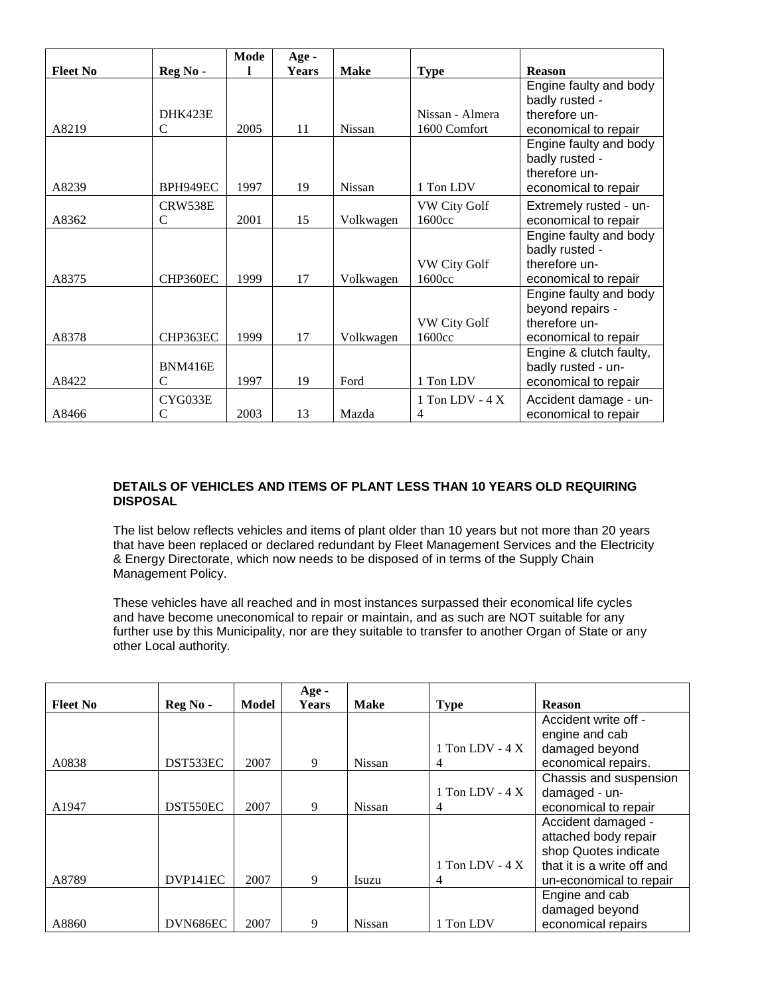|                 |                | Mode | Age -        |               |                     |                         |
|-----------------|----------------|------|--------------|---------------|---------------------|-------------------------|
| <b>Fleet No</b> | Reg No -       |      | <b>Years</b> | <b>Make</b>   | <b>Type</b>         | <b>Reason</b>           |
|                 |                |      |              |               |                     | Engine faulty and body  |
|                 |                |      |              |               |                     | badly rusted -          |
|                 | DHK423E        |      |              |               | Nissan - Almera     | therefore un-           |
| A8219           | $\mathsf{C}$   | 2005 | 11           | <b>Nissan</b> | 1600 Comfort        | economical to repair    |
|                 |                |      |              |               |                     | Engine faulty and body  |
|                 |                |      |              |               |                     | badly rusted -          |
|                 |                |      |              |               |                     | therefore un-           |
| A8239           | BPH949EC       | 1997 | 19           | <b>Nissan</b> | 1 Ton LDV           | economical to repair    |
|                 | CRW538E        |      |              |               | <b>VW City Golf</b> | Extremely rusted - un-  |
| A8362           | C              | 2001 | 15           | Volkwagen     | 1600cc              | economical to repair    |
|                 |                |      |              |               |                     | Engine faulty and body  |
|                 |                |      |              |               |                     | badly rusted -          |
|                 |                |      |              |               | <b>VW City Golf</b> | therefore un-           |
| A8375           | CHP360EC       | 1999 | 17           | Volkwagen     | 1600cc              | economical to repair    |
|                 |                |      |              |               |                     | Engine faulty and body  |
|                 |                |      |              |               |                     | beyond repairs -        |
|                 |                |      |              |               | <b>VW City Golf</b> | therefore un-           |
| A8378           | CHP363EC       | 1999 | 17           | Volkwagen     | 1600cc              | economical to repair    |
|                 |                |      |              |               |                     | Engine & clutch faulty, |
|                 | <b>BNM416E</b> |      |              |               |                     | badly rusted - un-      |
| A8422           | C              | 1997 | 19           | Ford          | 1 Ton LDV           | economical to repair    |
|                 | CYG033E        |      |              |               | 1 Ton LDV - $4 X$   | Accident damage - un-   |
| A8466           | $\mathsf{C}$   | 2003 | 13           | Mazda         | 4                   | economical to repair    |

## **DETAILS OF VEHICLES AND ITEMS OF PLANT LESS THAN 10 YEARS OLD REQUIRING DISPOSAL**

The list below reflects vehicles and items of plant older than 10 years but not more than 20 years that have been replaced or declared redundant by Fleet Management Services and the Electricity & Energy Directorate, which now needs to be disposed of in terms of the Supply Chain Management Policy.

These vehicles have all reached and in most instances surpassed their economical life cycles and have become uneconomical to repair or maintain, and as such are NOT suitable for any further use by this Municipality, nor are they suitable to transfer to another Organ of State or any other Local authority.

|                 |          |       | Age -        |               |                   |                            |
|-----------------|----------|-------|--------------|---------------|-------------------|----------------------------|
| <b>Fleet No</b> | Reg No - | Model | <b>Years</b> | <b>Make</b>   | <b>Type</b>       | <b>Reason</b>              |
|                 |          |       |              |               |                   | Accident write off -       |
|                 |          |       |              |               |                   | engine and cab             |
|                 |          |       |              |               | 1 Ton LDV - $4 X$ | damaged beyond             |
| A0838           | DST533EC | 2007  | 9            | Nissan        | 4                 | economical repairs.        |
|                 |          |       |              |               |                   | Chassis and suspension     |
|                 |          |       |              |               | 1 Ton LDV - $4 X$ | damaged - un-              |
| A1947           | DST550EC | 2007  | 9            | Nissan        | 4                 | economical to repair       |
|                 |          |       |              |               |                   | Accident damaged -         |
|                 |          |       |              |               |                   | attached body repair       |
|                 |          |       |              |               |                   | shop Quotes indicate       |
|                 |          |       |              |               | 1 Ton LDV - $4 X$ | that it is a write off and |
| A8789           | DVP141EC | 2007  | 9            | Isuzu         | 4                 | un-economical to repair    |
|                 |          |       |              |               |                   | Engine and cab             |
|                 |          |       |              |               |                   | damaged beyond             |
| A8860           | DVN686EC | 2007  | 9            | <b>Nissan</b> | 1 Ton LDV         | economical repairs         |